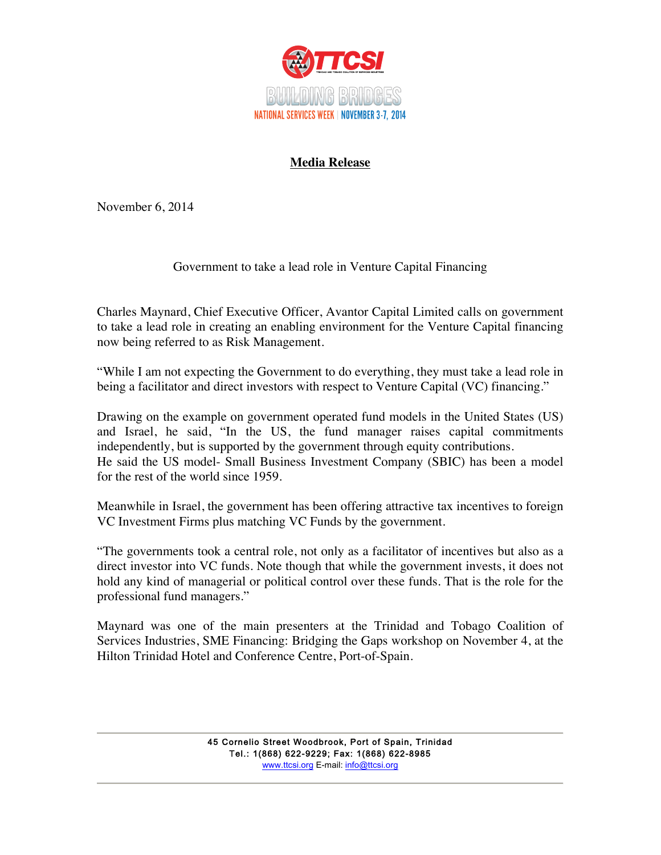

## **Media Release**

November 6, 2014

## Government to take a lead role in Venture Capital Financing

Charles Maynard, Chief Executive Officer, Avantor Capital Limited calls on government to take a lead role in creating an enabling environment for the Venture Capital financing now being referred to as Risk Management.

"While I am not expecting the Government to do everything, they must take a lead role in being a facilitator and direct investors with respect to Venture Capital (VC) financing."

Drawing on the example on government operated fund models in the United States (US) and Israel, he said, "In the US, the fund manager raises capital commitments independently, but is supported by the government through equity contributions. He said the US model- Small Business Investment Company (SBIC) has been a model for the rest of the world since 1959.

Meanwhile in Israel, the government has been offering attractive tax incentives to foreign VC Investment Firms plus matching VC Funds by the government.

"The governments took a central role, not only as a facilitator of incentives but also as a direct investor into VC funds. Note though that while the government invests, it does not hold any kind of managerial or political control over these funds. That is the role for the professional fund managers."

Maynard was one of the main presenters at the Trinidad and Tobago Coalition of Services Industries, SME Financing: Bridging the Gaps workshop on November 4, at the Hilton Trinidad Hotel and Conference Centre, Port-of-Spain.